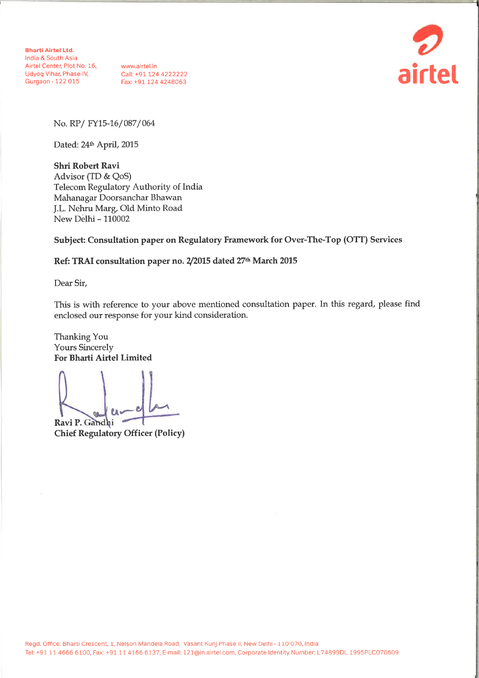**Bharti Airtel Ltd.** India & South Asia Airtel Center, Plot No. 16,<br>
Udyog Vihar, Phase-IV, Call: +91 124 4222222<br>
Gurgaon - 122 015 Fax: +91 124 4248063



No. RP/FY15-16/087/064

Dated: 24th April, 2015

**Shri Robert Ravi** Advisor (TD & QoS) Telecom Regulatory Authority of India Mahanagar Doorsanchar Bhawan J.L. Nehru Marg, Old Minto Road New Delhi - 110002

Subject: Consultation paper on Regulatory Framework for Over-The-Top (OTT) Services

#### Ref: TRAI consultation paper no. 2/2015 dated 27th March 2015

Dear Sir,

This is with reference to your above mentioned consultation paper. In this regard, please find enclosed our response for your kind consideration.

Thanking You **Yours Sincerely** For Bharti Airtel Limited

Ravi P. Gandhi

**Chief Regulatory Officer (Policy)**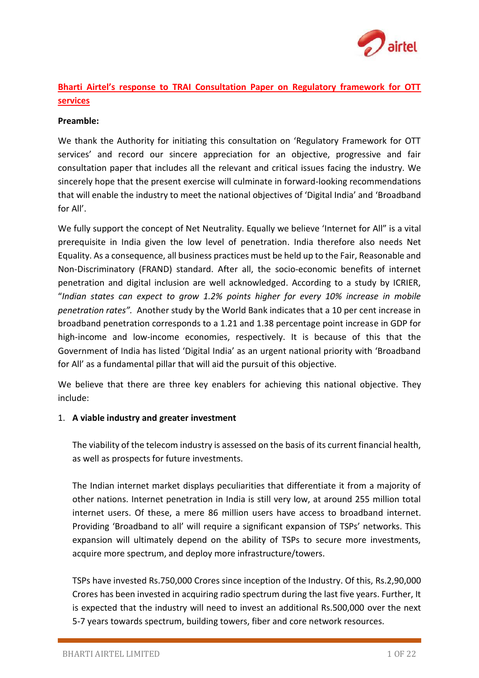

# **Bharti Airtel's response to TRAI Consultation Paper on Regulatory framework for OTT services**

### **Preamble:**

We thank the Authority for initiating this consultation on 'Regulatory Framework for OTT services' and record our sincere appreciation for an objective, progressive and fair consultation paper that includes all the relevant and critical issues facing the industry. We sincerely hope that the present exercise will culminate in forward-looking recommendations that will enable the industry to meet the national objectives of 'Digital India' and 'Broadband for All'.

We fully support the concept of Net Neutrality. Equally we believe 'Internet for All" is a vital prerequisite in India given the low level of penetration. India therefore also needs Net Equality. As a consequence, all business practices must be held up to the Fair, Reasonable and Non-Discriminatory (FRAND) standard. After all, the socio-economic benefits of internet penetration and digital inclusion are well acknowledged. According to a study by ICRIER, "*Indian states can expect to grow 1.2% points higher for every 10% increase in mobile penetration rates".* Another study by the World Bank indicates that a 10 per cent increase in broadband penetration corresponds to a 1.21 and 1.38 percentage point increase in GDP for high-income and low-income economies, respectively. It is because of this that the Government of India has listed 'Digital India' as an urgent national priority with 'Broadband for All' as a fundamental pillar that will aid the pursuit of this objective.

We believe that there are three key enablers for achieving this national objective. They include:

### 1. **A viable industry and greater investment**

The viability of the telecom industry is assessed on the basis of its current financial health, as well as prospects for future investments.

The Indian internet market displays peculiarities that differentiate it from a majority of other nations. Internet penetration in India is still very low, at around 255 million total internet users. Of these, a mere 86 million users have access to broadband internet. Providing 'Broadband to all' will require a significant expansion of TSPs' networks. This expansion will ultimately depend on the ability of TSPs to secure more investments, acquire more spectrum, and deploy more infrastructure/towers.

TSPs have invested Rs.750,000 Crores since inception of the Industry. Of this, Rs.2,90,000 Crores has been invested in acquiring radio spectrum during the last five years. Further, It is expected that the industry will need to invest an additional Rs.500,000 over the next 5-7 years towards spectrum, building towers, fiber and core network resources.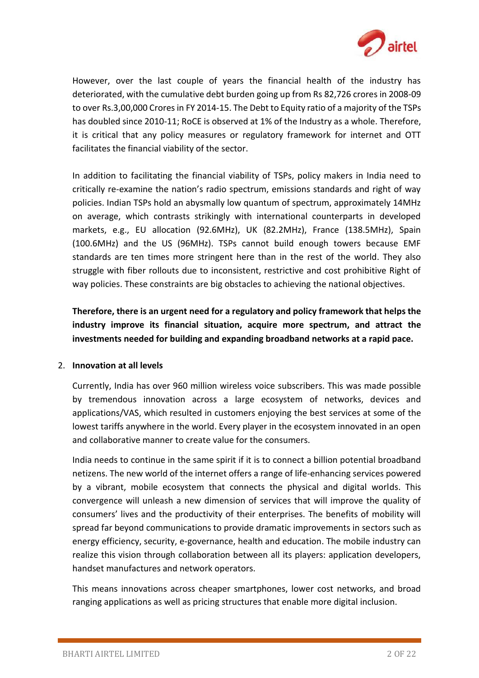

However, over the last couple of years the financial health of the industry has deteriorated, with the cumulative debt burden going up from Rs 82,726 crores in 2008-09 to over Rs.3,00,000 Crores in FY 2014-15. The Debt to Equity ratio of a majority of the TSPs has doubled since 2010-11; RoCE is observed at 1% of the Industry as a whole. Therefore, it is critical that any policy measures or regulatory framework for internet and OTT facilitates the financial viability of the sector.

In addition to facilitating the financial viability of TSPs, policy makers in India need to critically re-examine the nation's radio spectrum, emissions standards and right of way policies. Indian TSPs hold an abysmally low quantum of spectrum, approximately 14MHz on average, which contrasts strikingly with international counterparts in developed markets, e.g., EU allocation (92.6MHz), UK (82.2MHz), France (138.5MHz), Spain (100.6MHz) and the US (96MHz). TSPs cannot build enough towers because EMF standards are ten times more stringent here than in the rest of the world. They also struggle with fiber rollouts due to inconsistent, restrictive and cost prohibitive Right of way policies. These constraints are big obstacles to achieving the national objectives.

**Therefore, there is an urgent need for a regulatory and policy framework that helps the industry improve its financial situation, acquire more spectrum, and attract the investments needed for building and expanding broadband networks at a rapid pace.** 

### 2. **Innovation at all levels**

Currently, India has over 960 million wireless voice subscribers. This was made possible by tremendous innovation across a large ecosystem of networks, devices and applications/VAS, which resulted in customers enjoying the best services at some of the lowest tariffs anywhere in the world. Every player in the ecosystem innovated in an open and collaborative manner to create value for the consumers.

India needs to continue in the same spirit if it is to connect a billion potential broadband netizens. The new world of the internet offers a range of life-enhancing services powered by a vibrant, mobile ecosystem that connects the physical and digital worlds. This convergence will unleash a new dimension of services that will improve the quality of consumers' lives and the productivity of their enterprises. The benefits of mobility will spread far beyond communications to provide dramatic improvements in sectors such as energy efficiency, security, e-governance, health and education. The mobile industry can realize this vision through collaboration between all its players: application developers, handset manufactures and network operators.

This means innovations across cheaper smartphones, lower cost networks, and broad ranging applications as well as pricing structures that enable more digital inclusion.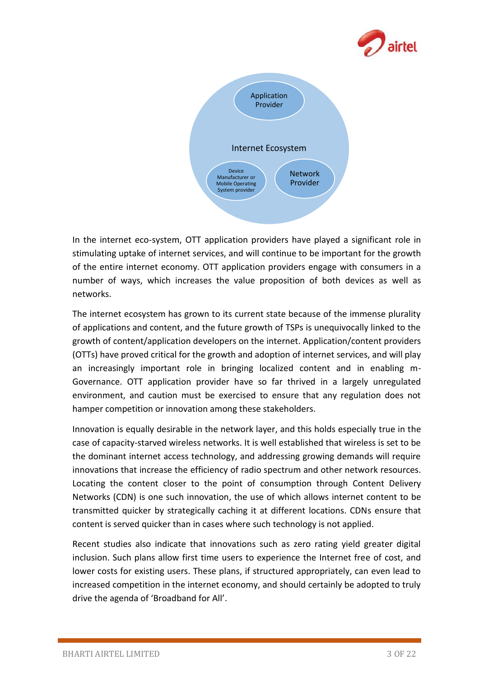



In the internet eco-system, OTT application providers have played a significant role in stimulating uptake of internet services, and will continue to be important for the growth of the entire internet economy. OTT application providers engage with consumers in a number of ways, which increases the value proposition of both devices as well as networks.

The internet ecosystem has grown to its current state because of the immense plurality of applications and content, and the future growth of TSPs is unequivocally linked to the growth of content/application developers on the internet. Application/content providers (OTTs) have proved critical for the growth and adoption of internet services, and will play an increasingly important role in bringing localized content and in enabling m-Governance. OTT application provider have so far thrived in a largely unregulated environment, and caution must be exercised to ensure that any regulation does not hamper competition or innovation among these stakeholders.

Innovation is equally desirable in the network layer, and this holds especially true in the case of capacity-starved wireless networks. It is well established that wireless is set to be the dominant internet access technology, and addressing growing demands will require innovations that increase the efficiency of radio spectrum and other network resources. Locating the content closer to the point of consumption through Content Delivery Networks (CDN) is one such innovation, the use of which allows internet content to be transmitted quicker by strategically caching it at different locations. CDNs ensure that content is served quicker than in cases where such technology is not applied.

Recent studies also indicate that innovations such as zero rating yield greater digital inclusion. Such plans allow first time users to experience the Internet free of cost, and lower costs for existing users. These plans, if structured appropriately, can even lead to increased competition in the internet economy, and should certainly be adopted to truly drive the agenda of 'Broadband for All'.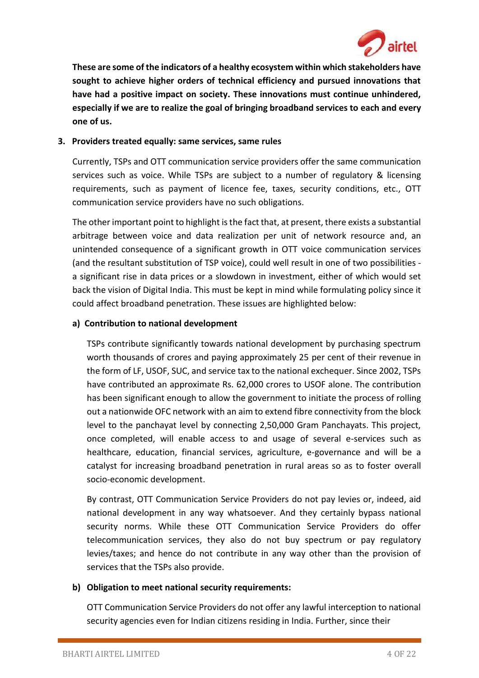

**These are some of the indicators of a healthy ecosystem within which stakeholders have sought to achieve higher orders of technical efficiency and pursued innovations that have had a positive impact on society. These innovations must continue unhindered, especially if we are to realize the goal of bringing broadband services to each and every one of us.** 

## **3. Providers treated equally: same services, same rules**

Currently, TSPs and OTT communication service providers offer the same communication services such as voice. While TSPs are subject to a number of regulatory & licensing requirements, such as payment of licence fee, taxes, security conditions, etc., OTT communication service providers have no such obligations.

The other important point to highlight is the fact that, at present, there exists a substantial arbitrage between voice and data realization per unit of network resource and, an unintended consequence of a significant growth in OTT voice communication services (and the resultant substitution of TSP voice), could well result in one of two possibilities a significant rise in data prices or a slowdown in investment, either of which would set back the vision of Digital India. This must be kept in mind while formulating policy since it could affect broadband penetration. These issues are highlighted below:

## **a) Contribution to national development**

TSPs contribute significantly towards national development by purchasing spectrum worth thousands of crores and paying approximately 25 per cent of their revenue in the form of LF, USOF, SUC, and service tax to the national exchequer. Since 2002, TSPs have contributed an approximate Rs. 62,000 crores to USOF alone. The contribution has been significant enough to allow the government to initiate the process of rolling out a nationwide OFC network with an aim to extend fibre connectivity from the block level to the panchayat level by connecting 2,50,000 Gram Panchayats. This project, once completed, will enable access to and usage of several e-services such as healthcare, education, financial services, agriculture, e-governance and will be a catalyst for increasing broadband penetration in rural areas so as to foster overall socio-economic development.

By contrast, OTT Communication Service Providers do not pay levies or, indeed, aid national development in any way whatsoever. And they certainly bypass national security norms. While these OTT Communication Service Providers do offer telecommunication services, they also do not buy spectrum or pay regulatory levies/taxes; and hence do not contribute in any way other than the provision of services that the TSPs also provide.

### **b) Obligation to meet national security requirements:**

OTT Communication Service Providers do not offer any lawful interception to national security agencies even for Indian citizens residing in India. Further, since their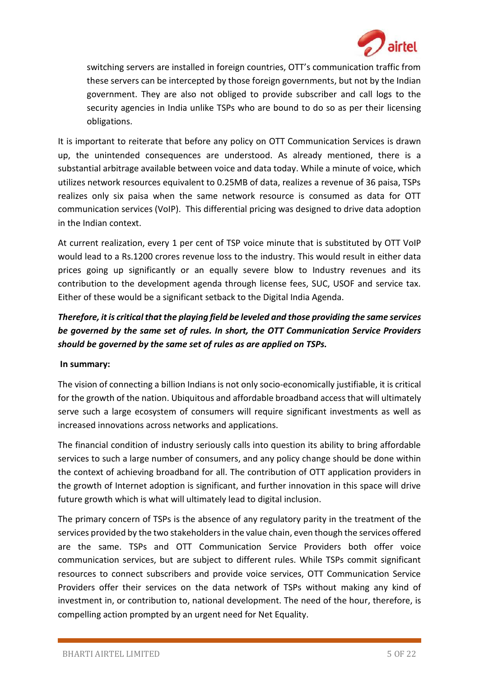

switching servers are installed in foreign countries, OTT's communication traffic from these servers can be intercepted by those foreign governments, but not by the Indian government. They are also not obliged to provide subscriber and call logs to the security agencies in India unlike TSPs who are bound to do so as per their licensing obligations.

It is important to reiterate that before any policy on OTT Communication Services is drawn up, the unintended consequences are understood. As already mentioned, there is a substantial arbitrage available between voice and data today. While a minute of voice, which utilizes network resources equivalent to 0.25MB of data, realizes a revenue of 36 paisa, TSPs realizes only six paisa when the same network resource is consumed as data for OTT communication services (VoIP). This differential pricing was designed to drive data adoption in the Indian context.

At current realization, every 1 per cent of TSP voice minute that is substituted by OTT VoIP would lead to a Rs.1200 crores revenue loss to the industry. This would result in either data prices going up significantly or an equally severe blow to Industry revenues and its contribution to the development agenda through license fees, SUC, USOF and service tax. Either of these would be a significant setback to the Digital India Agenda.

# *Therefore, it is critical that the playing field be leveled and those providing the same services be governed by the same set of rules. In short, the OTT Communication Service Providers should be governed by the same set of rules as are applied on TSPs.*

## **In summary:**

The vision of connecting a billion Indians is not only socio-economically justifiable, it is critical for the growth of the nation. Ubiquitous and affordable broadband access that will ultimately serve such a large ecosystem of consumers will require significant investments as well as increased innovations across networks and applications.

The financial condition of industry seriously calls into question its ability to bring affordable services to such a large number of consumers, and any policy change should be done within the context of achieving broadband for all. The contribution of OTT application providers in the growth of Internet adoption is significant, and further innovation in this space will drive future growth which is what will ultimately lead to digital inclusion.

The primary concern of TSPs is the absence of any regulatory parity in the treatment of the services provided by the two stakeholders in the value chain, even though the services offered are the same. TSPs and OTT Communication Service Providers both offer voice communication services, but are subject to different rules. While TSPs commit significant resources to connect subscribers and provide voice services, OTT Communication Service Providers offer their services on the data network of TSPs without making any kind of investment in, or contribution to, national development. The need of the hour, therefore, is compelling action prompted by an urgent need for Net Equality.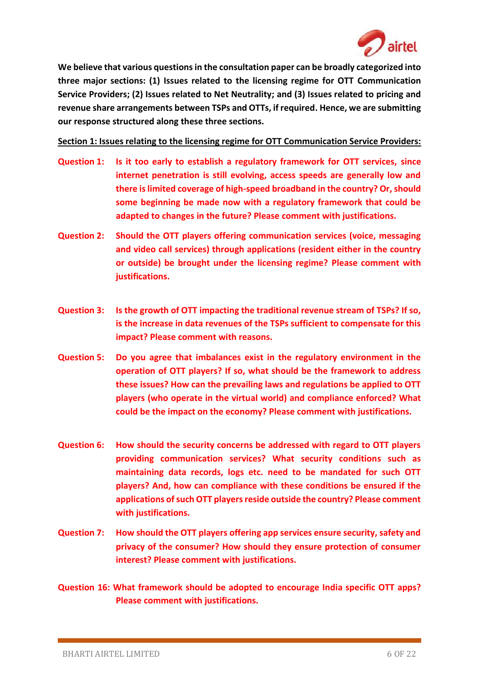

**We believe that various questions in the consultation paper can be broadly categorized into three major sections: (1) Issues related to the licensing regime for OTT Communication Service Providers; (2) Issues related to Net Neutrality; and (3) Issues related to pricing and revenue share arrangements between TSPs and OTTs, if required. Hence, we are submitting our response structured along these three sections.**

**Section 1: Issues relating to the licensing regime for OTT Communication Service Providers:**

- **Question 1: Is it too early to establish a regulatory framework for OTT services, since internet penetration is still evolving, access speeds are generally low and there is limited coverage of high-speed broadband in the country? Or, should some beginning be made now with a regulatory framework that could be adapted to changes in the future? Please comment with justifications.**
- **Question 2: Should the OTT players offering communication services (voice, messaging and video call services) through applications (resident either in the country or outside) be brought under the licensing regime? Please comment with justifications.**
- **Question 3: Is the growth of OTT impacting the traditional revenue stream of TSPs? If so, is the increase in data revenues of the TSPs sufficient to compensate for this impact? Please comment with reasons.**
- **Question 5: Do you agree that imbalances exist in the regulatory environment in the operation of OTT players? If so, what should be the framework to address these issues? How can the prevailing laws and regulations be applied to OTT players (who operate in the virtual world) and compliance enforced? What could be the impact on the economy? Please comment with justifications.**
- **Question 6: How should the security concerns be addressed with regard to OTT players providing communication services? What security conditions such as maintaining data records, logs etc. need to be mandated for such OTT players? And, how can compliance with these conditions be ensured if the applications of such OTT players reside outside the country? Please comment with justifications.**
- **Question 7: How should the OTT players offering app services ensure security, safety and privacy of the consumer? How should they ensure protection of consumer interest? Please comment with justifications.**
- **Question 16: What framework should be adopted to encourage India specific OTT apps? Please comment with justifications.**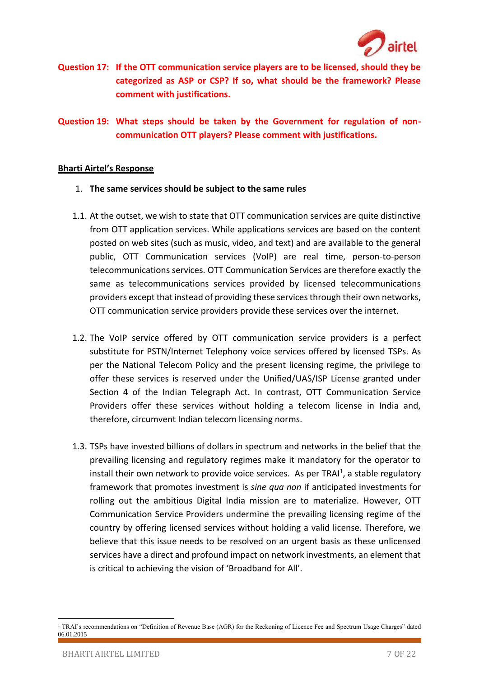

**Question 17: If the OTT communication service players are to be licensed, should they be categorized as ASP or CSP? If so, what should be the framework? Please comment with justifications.**

**Question 19: What steps should be taken by the Government for regulation of noncommunication OTT players? Please comment with justifications.**

#### **Bharti Airtel's Response**

- 1. **The same services should be subject to the same rules**
- 1.1. At the outset, we wish to state that OTT communication services are quite distinctive from OTT application services. While applications services are based on the content posted on web sites (such as music, video, and text) and are available to the general public, OTT Communication services (VoIP) are real time, person-to-person telecommunications services. OTT Communication Services are therefore exactly the same as telecommunications services provided by licensed telecommunications providers except that instead of providing these services through their own networks, OTT communication service providers provide these services over the internet.
- 1.2. The VoIP service offered by OTT communication service providers is a perfect substitute for PSTN/Internet Telephony voice services offered by licensed TSPs. As per the National Telecom Policy and the present licensing regime, the privilege to offer these services is reserved under the Unified/UAS/ISP License granted under Section 4 of the Indian Telegraph Act. In contrast, OTT Communication Service Providers offer these services without holding a telecom license in India and, therefore, circumvent Indian telecom licensing norms.
- 1.3. TSPs have invested billions of dollars in spectrum and networks in the belief that the prevailing licensing and regulatory regimes make it mandatory for the operator to install their own network to provide voice services. As per TRAI<sup>1</sup>, a stable regulatory framework that promotes investment is *sine qua non* if anticipated investments for rolling out the ambitious Digital India mission are to materialize. However, OTT Communication Service Providers undermine the prevailing licensing regime of the country by offering licensed services without holding a valid license. Therefore, we believe that this issue needs to be resolved on an urgent basis as these unlicensed services have a direct and profound impact on network investments, an element that is critical to achieving the vision of 'Broadband for All'.

**.** 

<sup>&</sup>lt;sup>1</sup> TRAI's recommendations on "Definition of Revenue Base (AGR) for the Reckoning of Licence Fee and Spectrum Usage Charges" dated 06.01.2015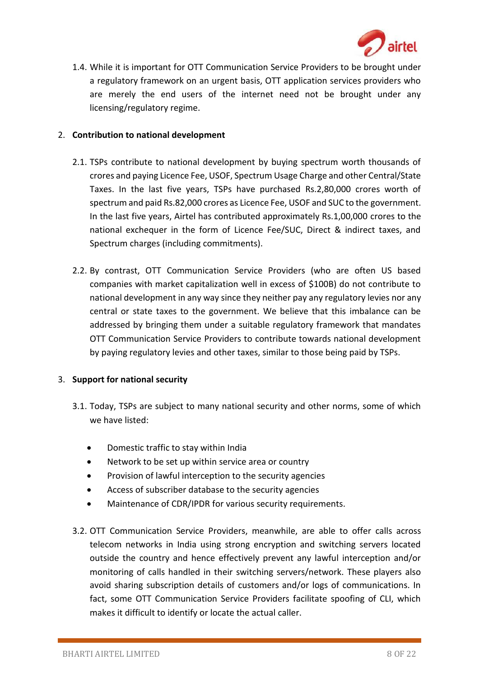

1.4. While it is important for OTT Communication Service Providers to be brought under a regulatory framework on an urgent basis, OTT application services providers who are merely the end users of the internet need not be brought under any licensing/regulatory regime.

### 2. **Contribution to national development**

- 2.1. TSPs contribute to national development by buying spectrum worth thousands of crores and paying Licence Fee, USOF, Spectrum Usage Charge and other Central/State Taxes. In the last five years, TSPs have purchased Rs.2,80,000 crores worth of spectrum and paid Rs.82,000 crores as Licence Fee, USOF and SUC to the government. In the last five years, Airtel has contributed approximately Rs.1,00,000 crores to the national exchequer in the form of Licence Fee/SUC, Direct & indirect taxes, and Spectrum charges (including commitments).
- 2.2. By contrast, OTT Communication Service Providers (who are often US based companies with market capitalization well in excess of \$100B) do not contribute to national development in any way since they neither pay any regulatory levies nor any central or state taxes to the government. We believe that this imbalance can be addressed by bringing them under a suitable regulatory framework that mandates OTT Communication Service Providers to contribute towards national development by paying regulatory levies and other taxes, similar to those being paid by TSPs.

### 3. **Support for national security**

- 3.1. Today, TSPs are subject to many national security and other norms, some of which we have listed:
	- Domestic traffic to stay within India
	- Network to be set up within service area or country
	- Provision of lawful interception to the security agencies
	- Access of subscriber database to the security agencies
	- Maintenance of CDR/IPDR for various security requirements.
- 3.2. OTT Communication Service Providers, meanwhile, are able to offer calls across telecom networks in India using strong encryption and switching servers located outside the country and hence effectively prevent any lawful interception and/or monitoring of calls handled in their switching servers/network. These players also avoid sharing subscription details of customers and/or logs of communications. In fact, some OTT Communication Service Providers facilitate spoofing of CLI, which makes it difficult to identify or locate the actual caller.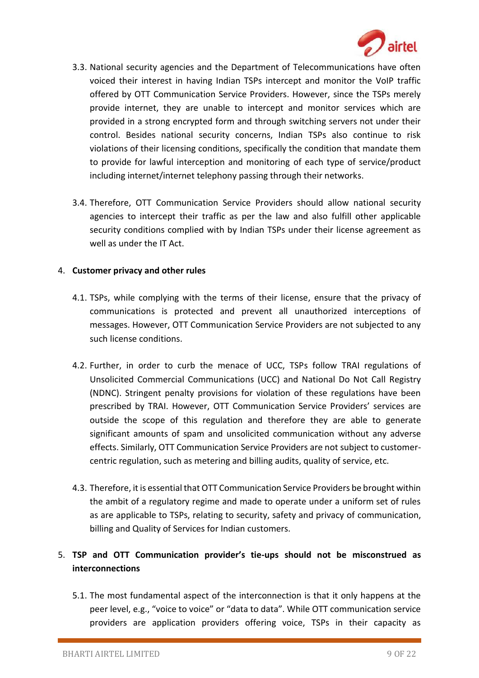

- 3.3. National security agencies and the Department of Telecommunications have often voiced their interest in having Indian TSPs intercept and monitor the VoIP traffic offered by OTT Communication Service Providers. However, since the TSPs merely provide internet, they are unable to intercept and monitor services which are provided in a strong encrypted form and through switching servers not under their control. Besides national security concerns, Indian TSPs also continue to risk violations of their licensing conditions, specifically the condition that mandate them to provide for lawful interception and monitoring of each type of service/product including internet/internet telephony passing through their networks.
- 3.4. Therefore, OTT Communication Service Providers should allow national security agencies to intercept their traffic as per the law and also fulfill other applicable security conditions complied with by Indian TSPs under their license agreement as well as under the IT Act.

### 4. **Customer privacy and other rules**

- 4.1. TSPs, while complying with the terms of their license, ensure that the privacy of communications is protected and prevent all unauthorized interceptions of messages. However, OTT Communication Service Providers are not subjected to any such license conditions.
- 4.2. Further, in order to curb the menace of UCC, TSPs follow TRAI regulations of Unsolicited Commercial Communications (UCC) and National Do Not Call Registry (NDNC). Stringent penalty provisions for violation of these regulations have been prescribed by TRAI. However, OTT Communication Service Providers' services are outside the scope of this regulation and therefore they are able to generate significant amounts of spam and unsolicited communication without any adverse effects. Similarly, OTT Communication Service Providers are not subject to customercentric regulation, such as metering and billing audits, quality of service, etc.
- 4.3. Therefore, it is essential that OTT Communication Service Providers be brought within the ambit of a regulatory regime and made to operate under a uniform set of rules as are applicable to TSPs, relating to security, safety and privacy of communication, billing and Quality of Services for Indian customers.

# 5. **TSP and OTT Communication provider's tie-ups should not be misconstrued as interconnections**

5.1. The most fundamental aspect of the interconnection is that it only happens at the peer level, e.g., "voice to voice" or "data to data". While OTT communication service providers are application providers offering voice, TSPs in their capacity as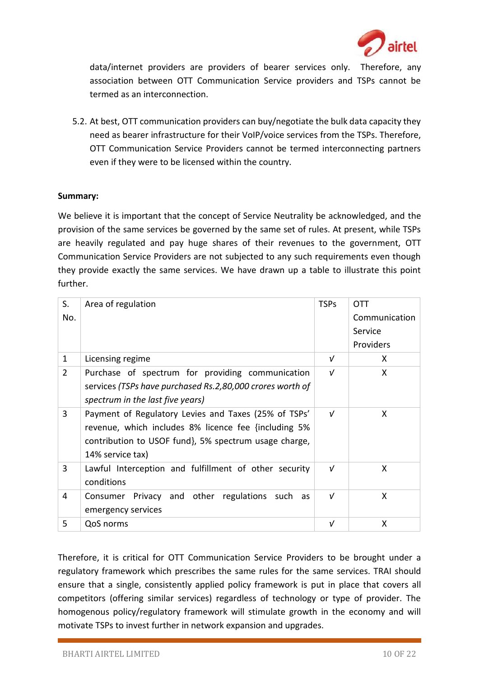

data/internet providers are providers of bearer services only. Therefore, any association between OTT Communication Service providers and TSPs cannot be termed as an interconnection.

5.2. At best, OTT communication providers can buy/negotiate the bulk data capacity they need as bearer infrastructure for their VoIP/voice services from the TSPs. Therefore, OTT Communication Service Providers cannot be termed interconnecting partners even if they were to be licensed within the country.

## **Summary:**

We believe it is important that the concept of Service Neutrality be acknowledged, and the provision of the same services be governed by the same set of rules. At present, while TSPs are heavily regulated and pay huge shares of their revenues to the government, OTT Communication Service Providers are not subjected to any such requirements even though they provide exactly the same services. We have drawn up a table to illustrate this point further.

| S.             | Area of regulation                                        | <b>TSPs</b> | <b>OTT</b>    |
|----------------|-----------------------------------------------------------|-------------|---------------|
| No.            |                                                           |             | Communication |
|                |                                                           |             | Service       |
|                |                                                           |             | Providers     |
| $\mathbf{1}$   | Licensing regime                                          | ν           | X             |
| $\overline{2}$ | Purchase of spectrum for providing communication          | $\sqrt{ }$  | X             |
|                | services (TSPs have purchased Rs.2,80,000 crores worth of |             |               |
|                | spectrum in the last five years)                          |             |               |
| 3              | Payment of Regulatory Levies and Taxes (25% of TSPs'      | $\sqrt{ }$  | X             |
|                | revenue, which includes 8% licence fee {including 5%      |             |               |
|                | contribution to USOF fund, 5% spectrum usage charge,      |             |               |
|                | 14% service tax)                                          |             |               |
| 3              | Lawful Interception and fulfillment of other security     | $\sqrt{ }$  | X             |
|                | conditions                                                |             |               |
| 4              | Privacy and other regulations such as<br>Consumer         | $\sqrt{ }$  | X             |
|                | emergency services                                        |             |               |
| 5              | QoS norms                                                 | ν           | X             |

Therefore, it is critical for OTT Communication Service Providers to be brought under a regulatory framework which prescribes the same rules for the same services. TRAI should ensure that a single, consistently applied policy framework is put in place that covers all competitors (offering similar services) regardless of technology or type of provider. The homogenous policy/regulatory framework will stimulate growth in the economy and will motivate TSPs to invest further in network expansion and upgrades.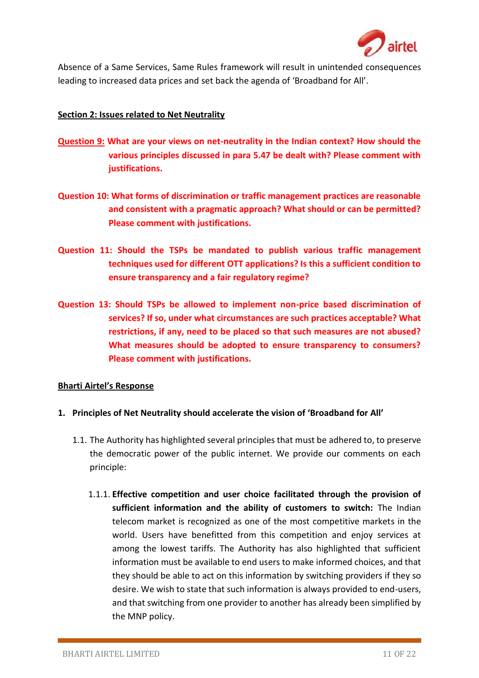

Absence of a Same Services, Same Rules framework will result in unintended consequences leading to increased data prices and set back the agenda of 'Broadband for All'.

### **Section 2: Issues related to Net Neutrality**

- **Question 9: What are your views on net-neutrality in the Indian context? How should the various principles discussed in para 5.47 be dealt with? Please comment with justifications.**
- **Question 10: What forms of discrimination or traffic management practices are reasonable and consistent with a pragmatic approach? What should or can be permitted? Please comment with justifications.**
- **Question 11: Should the TSPs be mandated to publish various traffic management techniques used for different OTT applications? Is this a sufficient condition to ensure transparency and a fair regulatory regime?**
- **Question 13: Should TSPs be allowed to implement non-price based discrimination of services? If so, under what circumstances are such practices acceptable? What restrictions, if any, need to be placed so that such measures are not abused? What measures should be adopted to ensure transparency to consumers? Please comment with justifications.**

### **Bharti Airtel's Response**

- **1. Principles of Net Neutrality should accelerate the vision of 'Broadband for All'**
	- 1.1. The Authority has highlighted several principles that must be adhered to, to preserve the democratic power of the public internet. We provide our comments on each principle:
		- 1.1.1. **Effective competition and user choice facilitated through the provision of sufficient information and the ability of customers to switch:** The Indian telecom market is recognized as one of the most competitive markets in the world. Users have benefitted from this competition and enjoy services at among the lowest tariffs. The Authority has also highlighted that sufficient information must be available to end users to make informed choices, and that they should be able to act on this information by switching providers if they so desire. We wish to state that such information is always provided to end-users, and that switching from one provider to another has already been simplified by the MNP policy.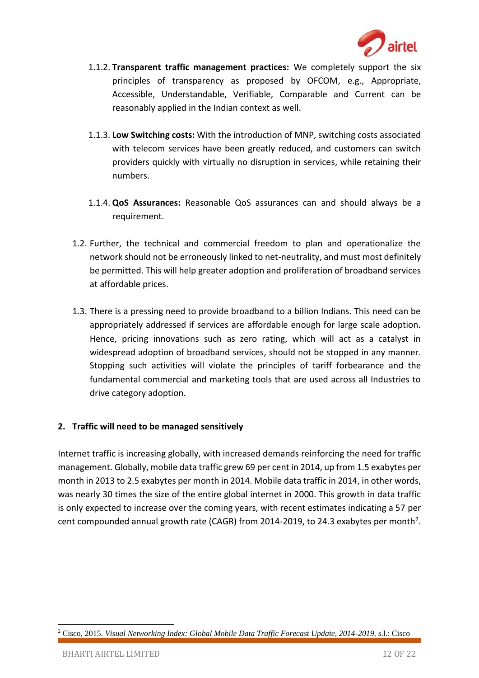

- 1.1.2. **Transparent traffic management practices:** We completely support the six principles of transparency as proposed by OFCOM, e.g., Appropriate, Accessible, Understandable, Verifiable, Comparable and Current can be reasonably applied in the Indian context as well.
- 1.1.3. **Low Switching costs:** With the introduction of MNP, switching costs associated with telecom services have been greatly reduced, and customers can switch providers quickly with virtually no disruption in services, while retaining their numbers.
- 1.1.4. **QoS Assurances:** Reasonable QoS assurances can and should always be a requirement.
- 1.2. Further, the technical and commercial freedom to plan and operationalize the network should not be erroneously linked to net-neutrality, and must most definitely be permitted. This will help greater adoption and proliferation of broadband services at affordable prices.
- 1.3. There is a pressing need to provide broadband to a billion Indians. This need can be appropriately addressed if services are affordable enough for large scale adoption. Hence, pricing innovations such as zero rating, which will act as a catalyst in widespread adoption of broadband services, should not be stopped in any manner. Stopping such activities will violate the principles of tariff forbearance and the fundamental commercial and marketing tools that are used across all Industries to drive category adoption.

## **2. Traffic will need to be managed sensitively**

Internet traffic is increasing globally, with increased demands reinforcing the need for traffic management. Globally, mobile data traffic grew 69 per cent in 2014, up from 1.5 exabytes per month in 2013 to 2.5 exabytes per month in 2014. Mobile data traffic in 2014, in other words, was nearly 30 times the size of the entire global internet in 2000. This growth in data traffic is only expected to increase over the coming years, with recent estimates indicating a 57 per cent compounded annual growth rate (CAGR) from 2014-2019, to 24.3 exabytes per month<sup>2</sup>.

1

<sup>2</sup> Cisco, 2015. *Visual Networking Index: Global Mobile Data Traffic Forecast Update, 2014-2019,* s.l.: Cisco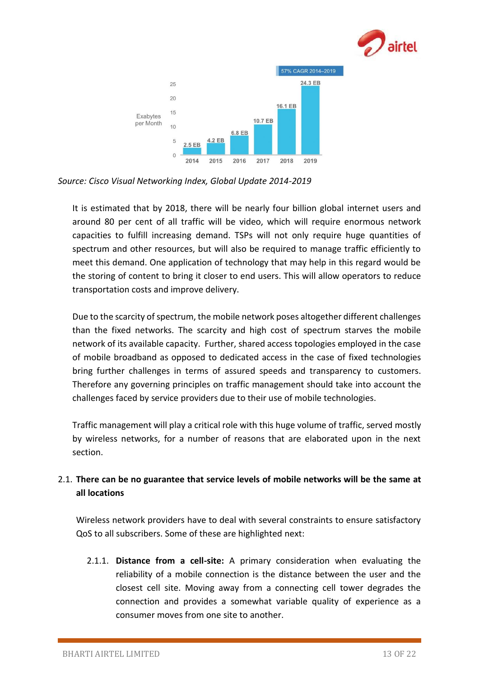



*Source: Cisco Visual Networking Index, Global Update 2014-2019*

It is estimated that by 2018, there will be nearly four billion global internet users and around 80 per cent of all traffic will be video, which will require enormous network capacities to fulfill increasing demand. TSPs will not only require huge quantities of spectrum and other resources, but will also be required to manage traffic efficiently to meet this demand. One application of technology that may help in this regard would be the storing of content to bring it closer to end users. This will allow operators to reduce transportation costs and improve delivery.

Due to the scarcity of spectrum, the mobile network poses altogether different challenges than the fixed networks. The scarcity and high cost of spectrum starves the mobile network of its available capacity. Further, shared access topologies employed in the case of mobile broadband as opposed to dedicated access in the case of fixed technologies bring further challenges in terms of assured speeds and transparency to customers. Therefore any governing principles on traffic management should take into account the challenges faced by service providers due to their use of mobile technologies.

Traffic management will play a critical role with this huge volume of traffic, served mostly by wireless networks, for a number of reasons that are elaborated upon in the next section.

# 2.1. **There can be no guarantee that service levels of mobile networks will be the same at all locations**

Wireless network providers have to deal with several constraints to ensure satisfactory QoS to all subscribers. Some of these are highlighted next:

2.1.1. **Distance from a cell-site:** A primary consideration when evaluating the reliability of a mobile connection is the distance between the user and the closest cell site. Moving away from a connecting cell tower degrades the connection and provides a somewhat variable quality of experience as a consumer moves from one site to another.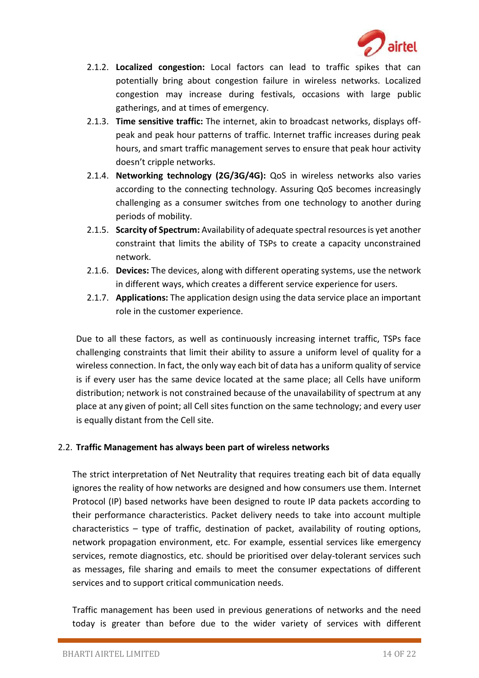

- 2.1.2. **Localized congestion:** Local factors can lead to traffic spikes that can potentially bring about congestion failure in wireless networks. Localized congestion may increase during festivals, occasions with large public gatherings, and at times of emergency.
- 2.1.3. **Time sensitive traffic:** The internet, akin to broadcast networks, displays offpeak and peak hour patterns of traffic. Internet traffic increases during peak hours, and smart traffic management serves to ensure that peak hour activity doesn't cripple networks.
- 2.1.4. **Networking technology (2G/3G/4G):** QoS in wireless networks also varies according to the connecting technology. Assuring QoS becomes increasingly challenging as a consumer switches from one technology to another during periods of mobility.
- 2.1.5. **Scarcity of Spectrum:** Availability of adequate spectral resources is yet another constraint that limits the ability of TSPs to create a capacity unconstrained network.
- 2.1.6. **Devices:** The devices, along with different operating systems, use the network in different ways, which creates a different service experience for users.
- 2.1.7. **Applications:** The application design using the data service place an important role in the customer experience.

Due to all these factors, as well as continuously increasing internet traffic, TSPs face challenging constraints that limit their ability to assure a uniform level of quality for a wireless connection. In fact, the only way each bit of data has a uniform quality of service is if every user has the same device located at the same place; all Cells have uniform distribution; network is not constrained because of the unavailability of spectrum at any place at any given of point; all Cell sites function on the same technology; and every user is equally distant from the Cell site.

### 2.2. **Traffic Management has always been part of wireless networks**

The strict interpretation of Net Neutrality that requires treating each bit of data equally ignores the reality of how networks are designed and how consumers use them. Internet Protocol (IP) based networks have been designed to route IP data packets according to their performance characteristics. Packet delivery needs to take into account multiple characteristics – type of traffic, destination of packet, availability of routing options, network propagation environment, etc. For example, essential services like emergency services, remote diagnostics, etc. should be prioritised over delay-tolerant services such as messages, file sharing and emails to meet the consumer expectations of different services and to support critical communication needs.

Traffic management has been used in previous generations of networks and the need today is greater than before due to the wider variety of services with different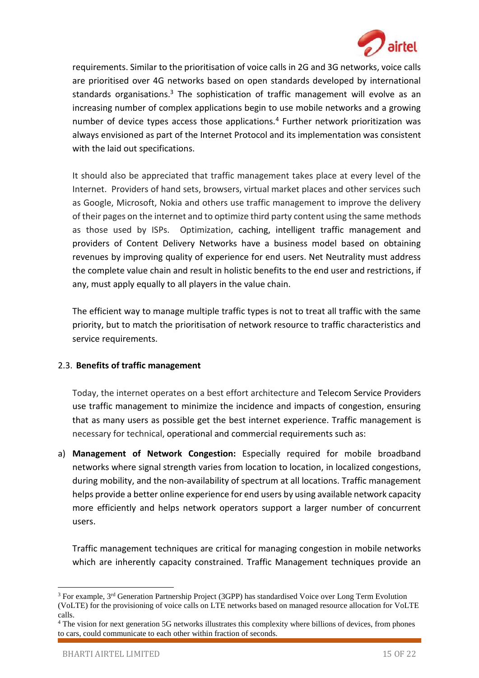

requirements. Similar to the prioritisation of voice calls in 2G and 3G networks, voice calls are prioritised over 4G networks based on open standards developed by international standards organisations.<sup>3</sup> The sophistication of traffic management will evolve as an increasing number of complex applications begin to use mobile networks and a growing number of device types access those applications.<sup>4</sup> Further network prioritization was always envisioned as part of the Internet Protocol and its implementation was consistent with the laid out specifications.

It should also be appreciated that traffic management takes place at every level of the Internet. Providers of hand sets, browsers, virtual market places and other services such as Google, Microsoft, Nokia and others use traffic management to improve the delivery of their pages on the internet and to optimize third party content using the same methods as those used by ISPs. Optimization, caching, intelligent traffic management and providers of Content Delivery Networks have a business model based on obtaining revenues by improving quality of experience for end users. Net Neutrality must address the complete value chain and result in holistic benefits to the end user and restrictions, if any, must apply equally to all players in the value chain.

The efficient way to manage multiple traffic types is not to treat all traffic with the same priority, but to match the prioritisation of network resource to traffic characteristics and service requirements.

## 2.3. **Benefits of traffic management**

Today, the internet operates on a best effort architecture and Telecom Service Providers use traffic management to minimize the incidence and impacts of congestion, ensuring that as many users as possible get the best internet experience. Traffic management is necessary for technical, operational and commercial requirements such as:

a) **Management of Network Congestion:** Especially required for mobile broadband networks where signal strength varies from location to location, in localized congestions, during mobility, and the non-availability of spectrum at all locations. Traffic management helps provide a better online experience for end users by using available network capacity more efficiently and helps network operators support a larger number of concurrent users.

Traffic management techniques are critical for managing congestion in mobile networks which are inherently capacity constrained. Traffic Management techniques provide an

**<sup>.</sup>**  $3$  For example,  $3<sup>rd</sup>$  Generation Partnership Project (3GPP) has standardised Voice over Long Term Evolution (VoLTE) for the provisioning of voice calls on LTE networks based on managed resource allocation for VoLTE calls.

<sup>4</sup> The vision for next generation 5G networks illustrates this complexity where billions of devices, from phones to cars, could communicate to each other within fraction of seconds.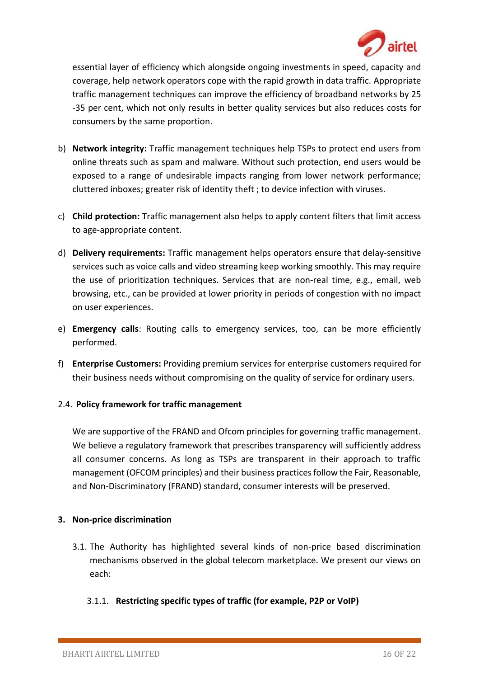

essential layer of efficiency which alongside ongoing investments in speed, capacity and coverage, help network operators cope with the rapid growth in data traffic. Appropriate traffic management techniques can improve the efficiency of broadband networks by 25 -35 per cent, which not only results in better quality services but also reduces costs for consumers by the same proportion.

- b) **Network integrity:** Traffic management techniques help TSPs to protect end users from online threats such as spam and malware. Without such protection, end users would be exposed to a range of undesirable impacts ranging from lower network performance; cluttered inboxes; greater risk of identity theft ; to device infection with viruses.
- c) **Child protection:** Traffic management also helps to apply content filters that limit access to age-appropriate content.
- d) **Delivery requirements:** Traffic management helps operators ensure that delay-sensitive services such as voice calls and video streaming keep working smoothly. This may require the use of prioritization techniques. Services that are non-real time, e.g., email, web browsing, etc., can be provided at lower priority in periods of congestion with no impact on user experiences.
- e) **Emergency calls**: Routing calls to emergency services, too, can be more efficiently performed.
- f) **Enterprise Customers:** Providing premium services for enterprise customers required for their business needs without compromising on the quality of service for ordinary users.

## 2.4. **Policy framework for traffic management**

We are supportive of the FRAND and Ofcom principles for governing traffic management. We believe a regulatory framework that prescribes transparency will sufficiently address all consumer concerns. As long as TSPs are transparent in their approach to traffic management (OFCOM principles) and their business practices follow the Fair, Reasonable, and Non-Discriminatory (FRAND) standard, consumer interests will be preserved.

### **3. Non-price discrimination**

3.1. The Authority has highlighted several kinds of non-price based discrimination mechanisms observed in the global telecom marketplace. We present our views on each:

## 3.1.1. **Restricting specific types of traffic (for example, P2P or VoIP)**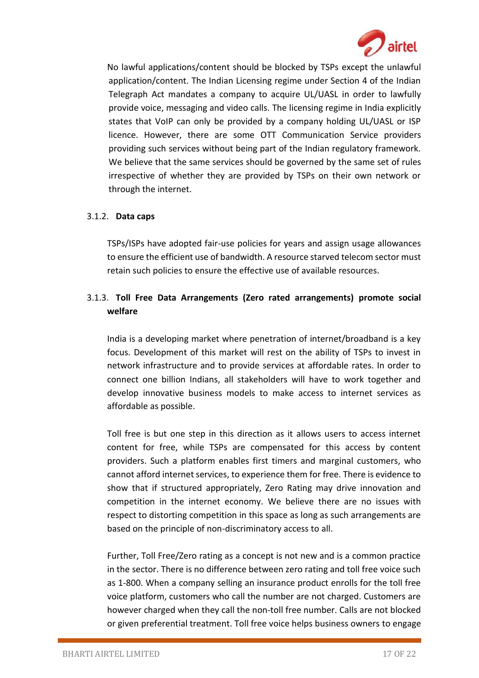

No lawful applications/content should be blocked by TSPs except the unlawful application/content. The Indian Licensing regime under Section 4 of the Indian Telegraph Act mandates a company to acquire UL/UASL in order to lawfully provide voice, messaging and video calls. The licensing regime in India explicitly states that VoIP can only be provided by a company holding UL/UASL or ISP licence. However, there are some OTT Communication Service providers providing such services without being part of the Indian regulatory framework. We believe that the same services should be governed by the same set of rules irrespective of whether they are provided by TSPs on their own network or through the internet.

## 3.1.2. **Data caps**

TSPs/ISPs have adopted fair-use policies for years and assign usage allowances to ensure the efficient use of bandwidth. A resource starved telecom sector must retain such policies to ensure the effective use of available resources.

## 3.1.3. **Toll Free Data Arrangements (Zero rated arrangements) promote social welfare**

India is a developing market where penetration of internet/broadband is a key focus. Development of this market will rest on the ability of TSPs to invest in network infrastructure and to provide services at affordable rates. In order to connect one billion Indians, all stakeholders will have to work together and develop innovative business models to make access to internet services as affordable as possible.

Toll free is but one step in this direction as it allows users to access internet content for free, while TSPs are compensated for this access by content providers. Such a platform enables first timers and marginal customers, who cannot afford internet services, to experience them for free. There is evidence to show that if structured appropriately, Zero Rating may drive innovation and competition in the internet economy. We believe there are no issues with respect to distorting competition in this space as long as such arrangements are based on the principle of non-discriminatory access to all.

Further, Toll Free/Zero rating as a concept is not new and is a common practice in the sector. There is no difference between zero rating and toll free voice such as 1-800. When a company selling an insurance product enrolls for the toll free voice platform, customers who call the number are not charged. Customers are however charged when they call the non-toll free number. Calls are not blocked or given preferential treatment. Toll free voice helps business owners to engage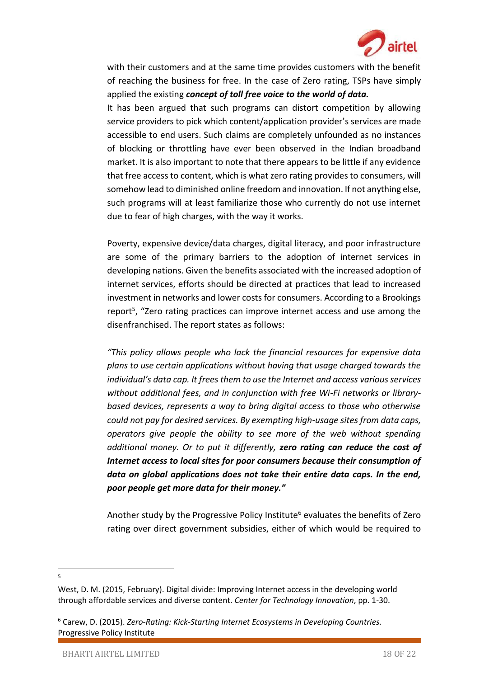

with their customers and at the same time provides customers with the benefit of reaching the business for free. In the case of Zero rating, TSPs have simply applied the existing *concept of toll free voice to the world of data.*

It has been argued that such programs can distort competition by allowing service providers to pick which content/application provider's services are made accessible to end users. Such claims are completely unfounded as no instances of blocking or throttling have ever been observed in the Indian broadband market. It is also important to note that there appears to be little if any evidence that free access to content, which is what zero rating provides to consumers, will somehow lead to diminished online freedom and innovation. If not anything else, such programs will at least familiarize those who currently do not use internet due to fear of high charges, with the way it works.

Poverty, expensive device/data charges, digital literacy, and poor infrastructure are some of the primary barriers to the adoption of internet services in developing nations. Given the benefits associated with the increased adoption of internet services, efforts should be directed at practices that lead to increased investment in networks and lower costs for consumers. According to a Brookings report<sup>5</sup>, "Zero rating practices can improve internet access and use among the disenfranchised. The report states as follows:

*"This policy allows people who lack the financial resources for expensive data plans to use certain applications without having that usage charged towards the individual's data cap. It frees them to use the Internet and access various services without additional fees, and in conjunction with free Wi-Fi networks or librarybased devices, represents a way to bring digital access to those who otherwise could not pay for desired services. By exempting high-usage sites from data caps, operators give people the ability to see more of the web without spending additional money. Or to put it differently, zero rating can reduce the cost of Internet access to local sites for poor consumers because their consumption of data on global applications does not take their entire data caps. In the end, poor people get more data for their money."*

Another study by the Progressive Policy Institute<sup>6</sup> evaluates the benefits of Zero rating over direct government subsidies, either of which would be required to

1 5

West, D. M. (2015, February). Digital divide: Improving Internet access in the developing world through affordable services and diverse content. *Center for Technology Innovation*, pp. 1-30.

<sup>6</sup> Carew, D. (2015). *Zero-Rating: Kick-Starting Internet Ecosystems in Developing Countries.* Progressive Policy Institute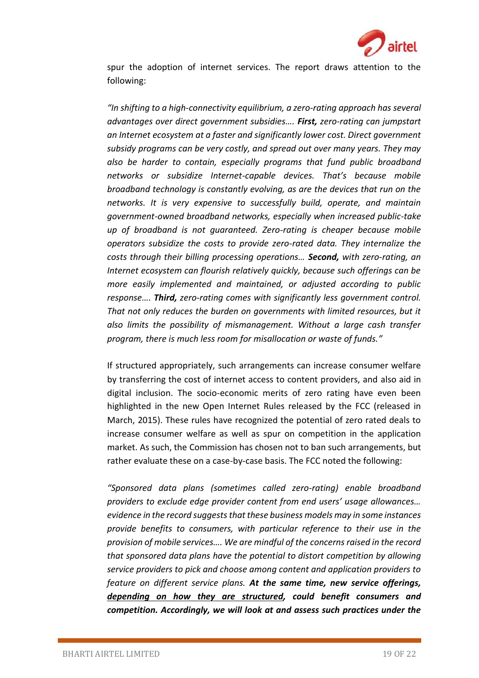

spur the adoption of internet services. The report draws attention to the following:

*"In shifting to a high-connectivity equilibrium, a zero-rating approach has several advantages over direct government subsidies…. First, zero-rating can jumpstart an Internet ecosystem at a faster and significantly lower cost. Direct government subsidy programs can be very costly, and spread out over many years. They may also be harder to contain, especially programs that fund public broadband networks or subsidize Internet-capable devices. That's because mobile broadband technology is constantly evolving, as are the devices that run on the networks. It is very expensive to successfully build, operate, and maintain government-owned broadband networks, especially when increased public-take up of broadband is not guaranteed. Zero-rating is cheaper because mobile operators subsidize the costs to provide zero-rated data. They internalize the costs through their billing processing operations… Second, with zero-rating, an Internet ecosystem can flourish relatively quickly, because such offerings can be more easily implemented and maintained, or adjusted according to public response…. Third, zero-rating comes with significantly less government control. That not only reduces the burden on governments with limited resources, but it also limits the possibility of mismanagement. Without a large cash transfer program, there is much less room for misallocation or waste of funds."*

If structured appropriately, such arrangements can increase consumer welfare by transferring the cost of internet access to content providers, and also aid in digital inclusion. The socio-economic merits of zero rating have even been highlighted in the new Open Internet Rules released by the FCC (released in March, 2015). These rules have recognized the potential of zero rated deals to increase consumer welfare as well as spur on competition in the application market. As such, the Commission has chosen not to ban such arrangements, but rather evaluate these on a case-by-case basis. The FCC noted the following:

*"Sponsored data plans (sometimes called zero-rating) enable broadband providers to exclude edge provider content from end users' usage allowances… evidence in the record suggests that these business models may in some instances provide benefits to consumers, with particular reference to their use in the provision of mobile services…. We are mindful of the concerns raised in the record that sponsored data plans have the potential to distort competition by allowing service providers to pick and choose among content and application providers to feature on different service plans. At the same time, new service offerings, depending on how they are structured, could benefit consumers and competition. Accordingly, we will look at and assess such practices under the*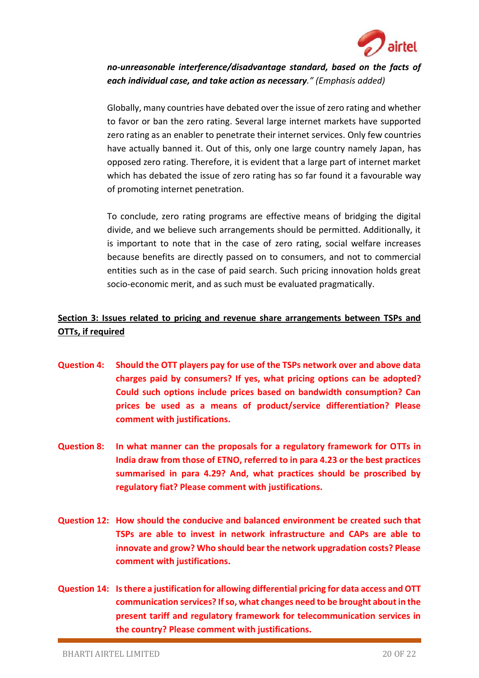

*no-unreasonable interference/disadvantage standard, based on the facts of each individual case, and take action as necessary." (Emphasis added)*

Globally, many countries have debated over the issue of zero rating and whether to favor or ban the zero rating. Several large internet markets have supported zero rating as an enabler to penetrate their internet services. Only few countries have actually banned it. Out of this, only one large country namely Japan, has opposed zero rating. Therefore, it is evident that a large part of internet market which has debated the issue of zero rating has so far found it a favourable way of promoting internet penetration.

To conclude, zero rating programs are effective means of bridging the digital divide, and we believe such arrangements should be permitted. Additionally, it is important to note that in the case of zero rating, social welfare increases because benefits are directly passed on to consumers, and not to commercial entities such as in the case of paid search. Such pricing innovation holds great socio-economic merit, and as such must be evaluated pragmatically.

# **Section 3: Issues related to pricing and revenue share arrangements between TSPs and OTTs, if required**

- **Question 4: Should the OTT players pay for use of the TSPs network over and above data charges paid by consumers? If yes, what pricing options can be adopted? Could such options include prices based on bandwidth consumption? Can prices be used as a means of product/service differentiation? Please comment with justifications.**
- **Question 8: In what manner can the proposals for a regulatory framework for OTTs in India draw from those of ETNO, referred to in para 4.23 or the best practices summarised in para 4.29? And, what practices should be proscribed by regulatory fiat? Please comment with justifications.**
- **Question 12: How should the conducive and balanced environment be created such that TSPs are able to invest in network infrastructure and CAPs are able to innovate and grow? Who should bear the network upgradation costs? Please comment with justifications.**
- **Question 14: Is there a justification for allowing differential pricing for data access and OTT communication services? If so, what changes need to be brought about in the present tariff and regulatory framework for telecommunication services in the country? Please comment with justifications.**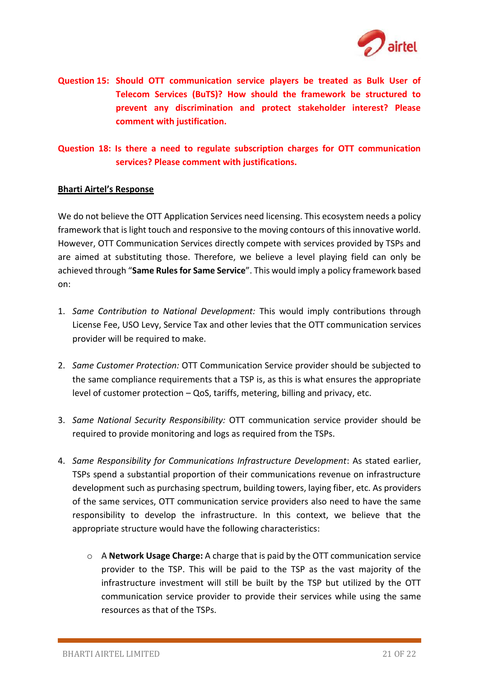

**Question 15: Should OTT communication service players be treated as Bulk User of Telecom Services (BuTS)? How should the framework be structured to prevent any discrimination and protect stakeholder interest? Please comment with justification.**

**Question 18: Is there a need to regulate subscription charges for OTT communication services? Please comment with justifications.**

#### **Bharti Airtel's Response**

We do not believe the OTT Application Services need licensing. This ecosystem needs a policy framework that is light touch and responsive to the moving contours of this innovative world. However, OTT Communication Services directly compete with services provided by TSPs and are aimed at substituting those. Therefore, we believe a level playing field can only be achieved through "**Same Rules for Same Service**". This would imply a policy framework based on:

- 1. *Same Contribution to National Development:* This would imply contributions through License Fee, USO Levy, Service Tax and other levies that the OTT communication services provider will be required to make.
- 2. *Same Customer Protection:* OTT Communication Service provider should be subjected to the same compliance requirements that a TSP is, as this is what ensures the appropriate level of customer protection – QoS, tariffs, metering, billing and privacy, etc.
- 3. *Same National Security Responsibility:* OTT communication service provider should be required to provide monitoring and logs as required from the TSPs.
- 4. *Same Responsibility for Communications Infrastructure Development*: As stated earlier, TSPs spend a substantial proportion of their communications revenue on infrastructure development such as purchasing spectrum, building towers, laying fiber, etc. As providers of the same services, OTT communication service providers also need to have the same responsibility to develop the infrastructure. In this context, we believe that the appropriate structure would have the following characteristics:
	- o A **Network Usage Charge:** A charge that is paid by the OTT communication service provider to the TSP. This will be paid to the TSP as the vast majority of the infrastructure investment will still be built by the TSP but utilized by the OTT communication service provider to provide their services while using the same resources as that of the TSPs.